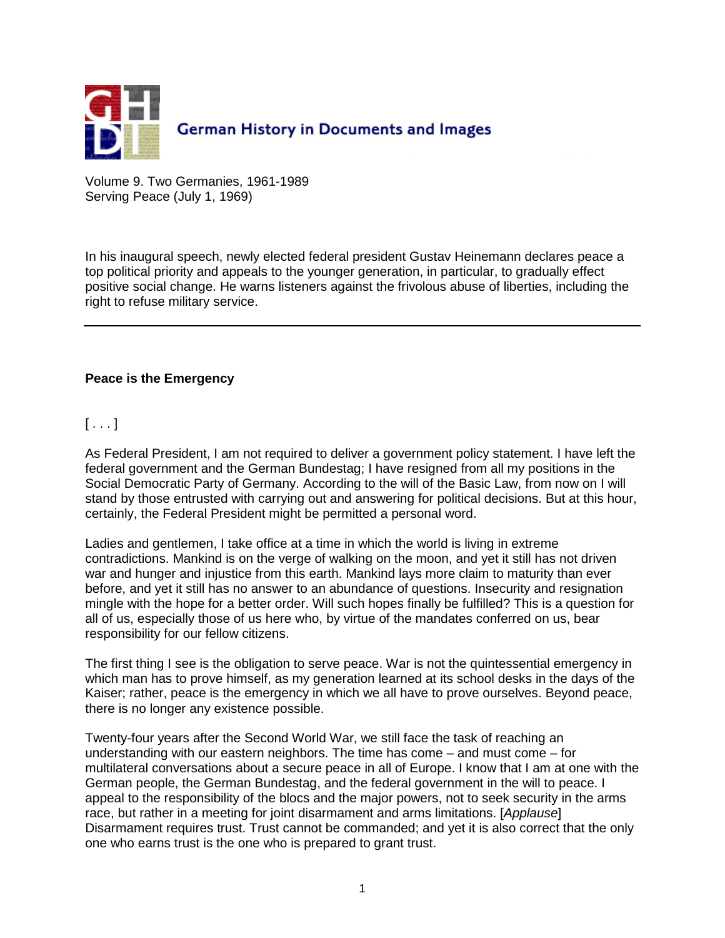

Volume 9. Two Germanies, 1961-1989 Serving Peace (July 1, 1969)

In his inaugural speech, newly elected federal president Gustav Heinemann declares peace a top political priority and appeals to the younger generation, in particular, to gradually effect positive social change. He warns listeners against the frivolous abuse of liberties, including the right to refuse military service.

## **Peace is the Emergency**

 $[\ldots]$ 

As Federal President, I am not required to deliver a government policy statement. I have left the federal government and the German Bundestag; I have resigned from all my positions in the Social Democratic Party of Germany. According to the will of the Basic Law, from now on I will stand by those entrusted with carrying out and answering for political decisions. But at this hour, certainly, the Federal President might be permitted a personal word.

Ladies and gentlemen, I take office at a time in which the world is living in extreme contradictions. Mankind is on the verge of walking on the moon, and yet it still has not driven war and hunger and injustice from this earth. Mankind lays more claim to maturity than ever before, and yet it still has no answer to an abundance of questions. Insecurity and resignation mingle with the hope for a better order. Will such hopes finally be fulfilled? This is a question for all of us, especially those of us here who, by virtue of the mandates conferred on us, bear responsibility for our fellow citizens.

The first thing I see is the obligation to serve peace. War is not the quintessential emergency in which man has to prove himself, as my generation learned at its school desks in the days of the Kaiser; rather, peace is the emergency in which we all have to prove ourselves. Beyond peace, there is no longer any existence possible.

Twenty-four years after the Second World War, we still face the task of reaching an understanding with our eastern neighbors. The time has come – and must come – for multilateral conversations about a secure peace in all of Europe. I know that I am at one with the German people, the German Bundestag, and the federal government in the will to peace. I appeal to the responsibility of the blocs and the major powers, not to seek security in the arms race, but rather in a meeting for joint disarmament and arms limitations. [Applause] Disarmament requires trust. Trust cannot be commanded; and yet it is also correct that the only one who earns trust is the one who is prepared to grant trust.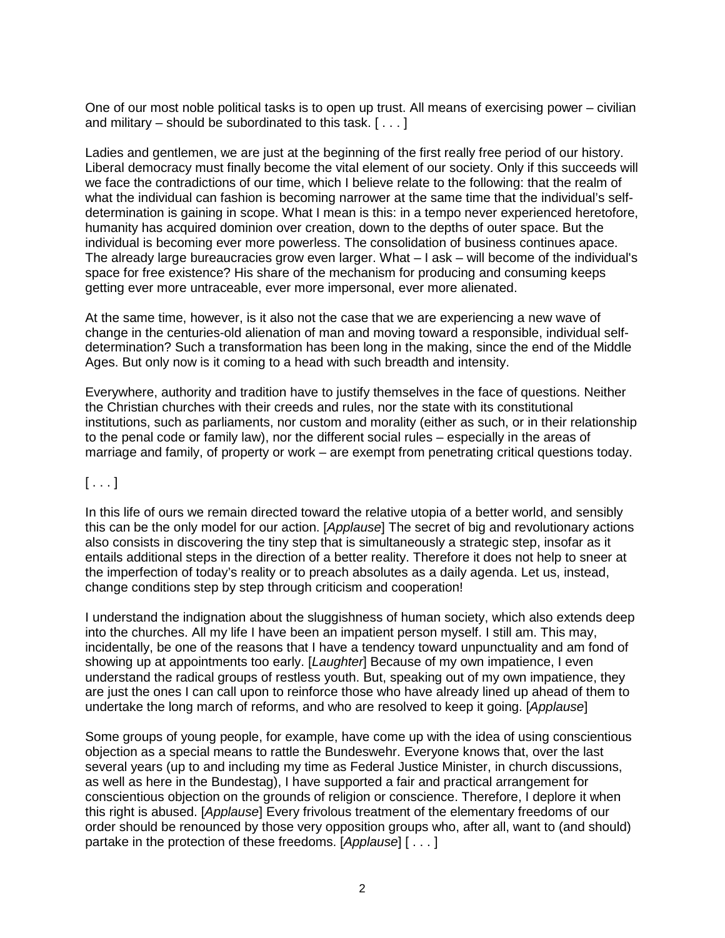One of our most noble political tasks is to open up trust. All means of exercising power – civilian and military – should be subordinated to this task.  $[\ldots]$ 

Ladies and gentlemen, we are just at the beginning of the first really free period of our history. Liberal democracy must finally become the vital element of our society. Only if this succeeds will we face the contradictions of our time, which I believe relate to the following: that the realm of what the individual can fashion is becoming narrower at the same time that the individual's selfdetermination is gaining in scope. What I mean is this: in a tempo never experienced heretofore, humanity has acquired dominion over creation, down to the depths of outer space. But the individual is becoming ever more powerless. The consolidation of business continues apace. The already large bureaucracies grow even larger. What – I ask – will become of the individual's space for free existence? His share of the mechanism for producing and consuming keeps getting ever more untraceable, ever more impersonal, ever more alienated.

At the same time, however, is it also not the case that we are experiencing a new wave of change in the centuries-old alienation of man and moving toward a responsible, individual selfdetermination? Such a transformation has been long in the making, since the end of the Middle Ages. But only now is it coming to a head with such breadth and intensity.

Everywhere, authority and tradition have to justify themselves in the face of questions. Neither the Christian churches with their creeds and rules, nor the state with its constitutional institutions, such as parliaments, nor custom and morality (either as such, or in their relationship to the penal code or family law), nor the different social rules – especially in the areas of marriage and family, of property or work – are exempt from penetrating critical questions today.

## $[ \ldots ]$

In this life of ours we remain directed toward the relative utopia of a better world, and sensibly this can be the only model for our action. [Applause] The secret of big and revolutionary actions also consists in discovering the tiny step that is simultaneously a strategic step, insofar as it entails additional steps in the direction of a better reality. Therefore it does not help to sneer at the imperfection of today's reality or to preach absolutes as a daily agenda. Let us, instead, change conditions step by step through criticism and cooperation!

I understand the indignation about the sluggishness of human society, which also extends deep into the churches. All my life I have been an impatient person myself. I still am. This may, incidentally, be one of the reasons that I have a tendency toward unpunctuality and am fond of showing up at appointments too early. [Laughter] Because of my own impatience, I even understand the radical groups of restless youth. But, speaking out of my own impatience, they are just the ones I can call upon to reinforce those who have already lined up ahead of them to undertake the long march of reforms, and who are resolved to keep it going. [Applause]

Some groups of young people, for example, have come up with the idea of using conscientious objection as a special means to rattle the Bundeswehr. Everyone knows that, over the last several years (up to and including my time as Federal Justice Minister, in church discussions, as well as here in the Bundestag), I have supported a fair and practical arrangement for conscientious objection on the grounds of religion or conscience. Therefore, I deplore it when this right is abused. [Applause] Every frivolous treatment of the elementary freedoms of our order should be renounced by those very opposition groups who, after all, want to (and should) partake in the protection of these freedoms. [Applause] [ . . . ]